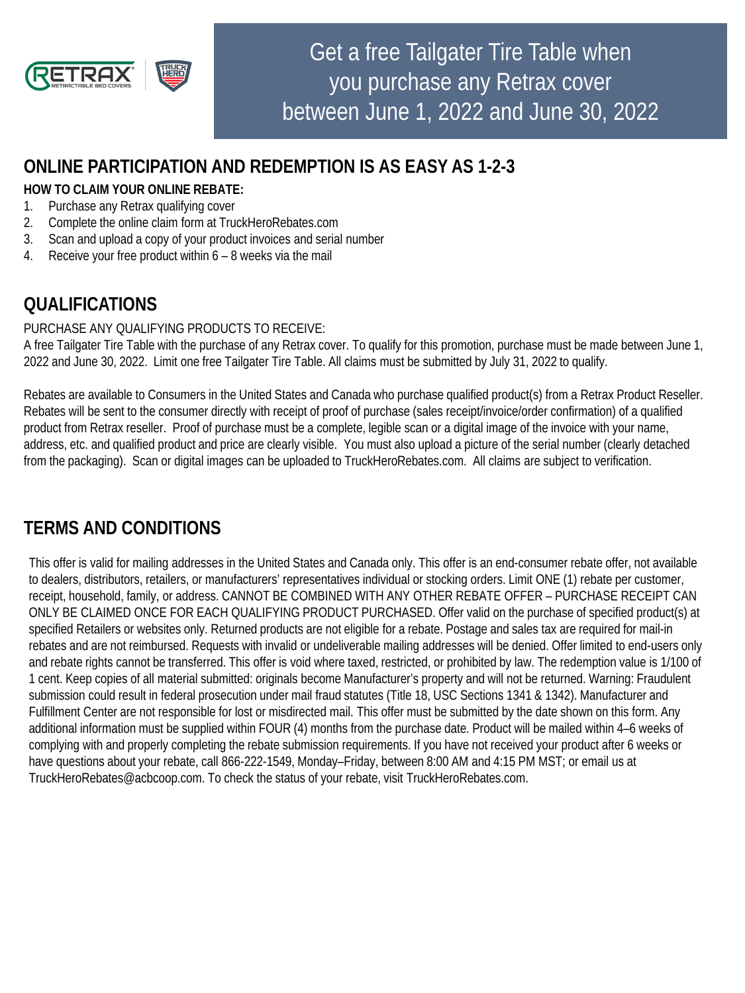

Get a free Tailgater Tire Table when you purchase any Retrax cover between June 1, 2022 and June 30, 2022

## **ONLINE PARTICIPATION AND REDEMPTION IS AS EASY AS 1-2-3**

### **HOW TO CLAIM YOUR ONLINE REBATE:**

- 1. Purchase any Retrax qualifying cover
- 2. Complete the online claim form at TruckHeroRebates.com
- 3. Scan and upload a copy of your product invoices and serial number
- 4. Receive your free product within 6 8 weeks via the mail

# **QUALIFICATIONS**

#### PURCHASE ANY QUALIFYING PRODUCTS TO RECEIVE:

A free Tailgater Tire Table with the purchase of any Retrax cover. To qualify for this promotion, purchase must be made between June 1, 2022 and June 30, 2022. Limit one free Tailgater Tire Table. All claims must be submitted by July 31, 2022 to qualify.

Rebates are available to Consumers in the United States and Canada who purchase qualified product(s) from a Retrax Product Reseller. Rebates will be sent to the consumer directly with receipt of proof of purchase (sales receipt/invoice/order confirmation) of a qualified product from Retrax reseller. Proof of purchase must be a complete, legible scan or a digital image of the invoice with your name, address, etc. and qualified product and price are clearly visible. You must also upload a picture of the serial number (clearly detached from the packaging). Scan or digital images can be uploaded to TruckHeroRebates.com. All claims are subject to verification.

### **TERMS AND CONDITIONS**

This offer is valid for mailing addresses in the United States and Canada only. This offer is an end-consumer rebate offer, not available to dealers, distributors, retailers, or manufacturers' representatives individual or stocking orders. Limit ONE (1) rebate per customer, receipt, household, family, or address. CANNOT BE COMBINED WITH ANY OTHER REBATE OFFER – PURCHASE RECEIPT CAN ONLY BE CLAIMED ONCE FOR EACH QUALIFYING PRODUCT PURCHASED. Offer valid on the purchase of specified product(s) at specified Retailers or websites only. Returned products are not eligible for a rebate. Postage and sales tax are required for mail-in rebates and are not reimbursed. Requests with invalid or undeliverable mailing addresses will be denied. Offer limited to end-users only and rebate rights cannot be transferred. This offer is void where taxed, restricted, or prohibited by law. The redemption value is 1/100 of 1 cent. Keep copies of all material submitted: originals become Manufacturer's property and will not be returned. Warning: Fraudulent submission could result in federal prosecution under mail fraud statutes (Title 18, USC Sections 1341 & 1342). Manufacturer and Fulfillment Center are not responsible for lost or misdirected mail. This offer must be submitted by the date shown on this form. Any additional information must be supplied within FOUR (4) months from the purchase date. Product will be mailed within 4–6 weeks of complying with and properly completing the rebate submission requirements. If you have not received your product after 6 weeks or have questions about your rebate, call 866-222-1549, Monday–Friday, between 8:00 AM and 4:15 PM MST; or email us at TruckHeroRebates@acbcoop.com. To check the status of your rebate, visit TruckHeroRebates.com.